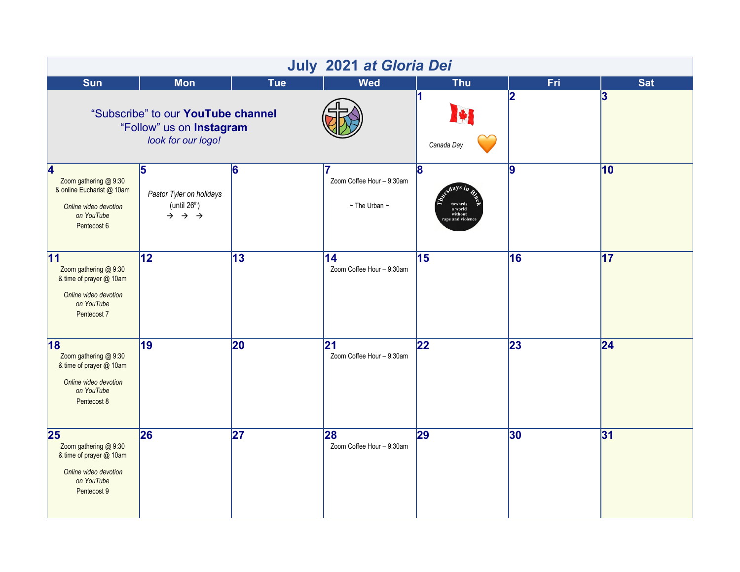| July 2021 at Gloria Dei                                                                                                    |                                                                                                            |                 |                                                           |                                                     |     |                 |  |  |  |  |
|----------------------------------------------------------------------------------------------------------------------------|------------------------------------------------------------------------------------------------------------|-----------------|-----------------------------------------------------------|-----------------------------------------------------|-----|-----------------|--|--|--|--|
| <b>Sun</b>                                                                                                                 | <b>Mon</b>                                                                                                 | <b>Tue</b>      | <b>Wed</b>                                                | <b>Thu</b>                                          | Fri | <b>Sat</b>      |  |  |  |  |
|                                                                                                                            | "Subscribe" to our YouTube channel<br>"Follow" us on Instagram<br>look for our logo!                       |                 | 1<br>Canada Day                                           | 2                                                   | 3   |                 |  |  |  |  |
| $\overline{4}$<br>Zoom gathering @ 9:30<br>& online Eucharist @ 10am<br>Online video devotion<br>on YouTube<br>Pentecost 6 | $\overline{5}$<br>Pastor Tyler on holidays<br>(until $26th$ )<br>$\rightarrow$ $\rightarrow$ $\rightarrow$ | 6               | 7<br>Zoom Coffee Hour - 9:30am<br>$\sim$ The Urban $\sim$ | 8<br>towards<br>a world<br>without<br>ape and viole | 9   | 10              |  |  |  |  |
| $\overline{11}$<br>Zoom gathering @ 9:30<br>& time of prayer @ 10am<br>Online video devotion<br>on YouTube<br>Pentecost 7  | $\overline{12}$                                                                                            | $\overline{13}$ | $\overline{14}$<br>Zoom Coffee Hour - 9:30am              | 15                                                  | 16  | $\overline{17}$ |  |  |  |  |
| 18<br>Zoom gathering @ 9:30<br>& time of prayer @ 10am<br>Online video devotion<br>on YouTube<br>Pentecost 8               | $\overline{19}$                                                                                            | 20              | $\overline{21}$<br>Zoom Coffee Hour - 9:30am              | 22                                                  | 23  | $\overline{24}$ |  |  |  |  |
| 25<br>Zoom gathering @ 9:30<br>& time of prayer @ 10am<br>Online video devotion<br>on YouTube<br>Pentecost 9               | 26                                                                                                         | $\overline{27}$ | 28<br>Zoom Coffee Hour - 9:30am                           | 29                                                  | 30  | 31              |  |  |  |  |